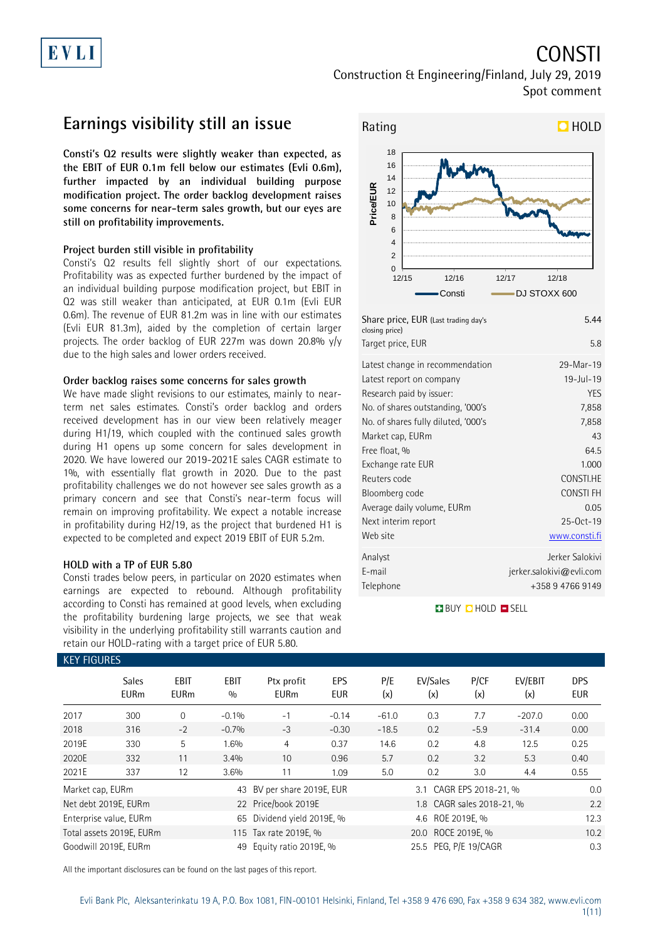# EVLI

# CONSTI

Construction & Engineering/Finland, July 29, 2019 Spot comment

### **Earnings visibility still an issue**

**Consti's Q2 results were slightly weaker than expected, as the EBIT of EUR 0.1m fell below our estimates (Evli 0.6m), further impacted by an individual building purpose modification project. The order backlog development raises some concerns for near-term sales growth, but our eyes are still on profitability improvements.**

### **Project burden still visible in profitability**

Consti's Q2 results fell slightly short of our expectations. Profitability was as expected further burdened by the impact of an individual building purpose modification project, but EBIT in Q2 was still weaker than anticipated, at EUR 0.1m (Evli EUR 0.6m). The revenue of EUR 81.2m was in line with our estimates (Evli EUR 81.3m), aided by the completion of certain larger projects. The order backlog of EUR 227m was down 20.8% y/y due to the high sales and lower orders received.

### **Order backlog raises some concerns for sales growth**

We have made slight revisions to our estimates, mainly to nearterm net sales estimates. Consti's order backlog and orders received development has in our view been relatively meager during H1/19, which coupled with the continued sales growth during H1 opens up some concern for sales development in 2020. We have lowered our 2019-2021E sales CAGR estimate to 1%, with essentially flat growth in 2020. Due to the past profitability challenges we do not however see sales growth as a primary concern and see that Consti's near-term focus will remain on improving profitability. We expect a notable increase in profitability during H2/19, as the project that burdened H1 is expected to be completed and expect 2019 EBIT of EUR 5.2m.

### **HOLD with a TP of EUR 5.80**

Consti trades below peers, in particular on 2020 estimates when earnings are expected to rebound. Although profitability according to Consti has remained at good levels, when excluding the profitability burdening large projects, we see that weak visibility in the underlying profitability still warrants caution and retain our HOLD-rating with a target price of EUR 5.80.



| Share price, EUR (Last trading day's<br>closing price)<br>Target price, EUR | 5.44<br>5.8              |
|-----------------------------------------------------------------------------|--------------------------|
| Latest change in recommendation                                             | 29-Mar-19                |
| Latest report on company                                                    | $19 -$ Jul-19            |
| Research paid by issuer:                                                    | <b>YES</b>               |
| No. of shares outstanding, '000's                                           | 7,858                    |
| No. of shares fully diluted, '000's                                         | 7,858                    |
| Market cap, EURm                                                            | 43                       |
| Free float, %                                                               | 64.5                     |
| Exchange rate EUR                                                           | 1.000                    |
| Reuters code                                                                | CONSTI.HE                |
| Bloomberg code                                                              | <b>CONSTIFH</b>          |
| Average daily volume, EURm                                                  | 0.05                     |
| Next interim report                                                         | 25-Oct-19                |
| Web site                                                                    | www.consti.fi            |
| Analyst                                                                     | Jerker Salokivi          |
| E-mail                                                                      | jerker.salokivi@evli.com |
| Telephone                                                                   | +358 9 4766 9149         |
|                                                                             |                          |

**BUY QHOLD SELL** 

| <b>KEY FIGURES</b> |                                                                         |                                                      |             |                            |                   |            |                           |             |                |                   |
|--------------------|-------------------------------------------------------------------------|------------------------------------------------------|-------------|----------------------------|-------------------|------------|---------------------------|-------------|----------------|-------------------|
|                    | <b>Sales</b><br><b>EURm</b>                                             | <b>EBIT</b><br><b>EURm</b>                           | EBIT<br>0/0 | Ptx profit<br><b>EURm</b>  | EPS<br><b>EUR</b> | P/E<br>(x) | EV/Sales<br>(x)           | P/CF<br>(x) | EV/EBIT<br>(x) | <b>DPS</b><br>EUR |
| 2017               | 300                                                                     | $\Omega$                                             | $-0.1%$     | $-1$                       | $-0.14$           | $-61.0$    | 0.3                       | 7.7         | $-207.0$       | 0.00              |
| 2018               | 316                                                                     | $-2$                                                 | $-0.7%$     | $-3$                       | $-0.30$           | $-18.5$    | 0.2                       | $-5.9$      | $-31.4$        | 0.00              |
| 2019E              | 330                                                                     | 5                                                    | 1.6%        | 4                          | 0.37              | 14.6       | 0.2                       | 4.8         | 12.5           | 0.25              |
| 2020E              | 332                                                                     | 11                                                   | 3.4%        | 10                         | 0.96              | 5.7        | 0.2                       | 3.2         | 5.3            | 0.40              |
| 2021E              | 337                                                                     | 12                                                   | 3.6%        | 11                         | 1.09              | 5.0        | 0.2                       | 3.0         | 4.4            | 0.55              |
| Market cap, EURm   |                                                                         |                                                      |             | 43 BV per share 2019E, EUR |                   |            | 3.1 CAGR EPS 2018-21, %   |             |                | 0.0               |
|                    | Net debt 2019E, EURm                                                    |                                                      |             | 22 Price/book 2019E        |                   |            | 1.8 CAGR sales 2018-21, % |             |                | 2.2               |
|                    | Enterprise value, EURm                                                  |                                                      |             | 65 Dividend yield 2019E, % |                   |            | 4.6 ROE 2019E, %          |             |                | 12.3              |
|                    | 20.0 ROCE 2019E. %<br>Total assets 2019E, EURm<br>115 Tax rate 2019E, % |                                                      |             |                            |                   |            |                           | 10.2        |                |                   |
|                    | Goodwill 2019E, EURm                                                    | 25.5 PEG, P/E 19/CAGR<br>Equity ratio 2019E, %<br>49 |             |                            |                   |            |                           |             | 0.3            |                   |

All the important disclosures can be found on the last pages of this report.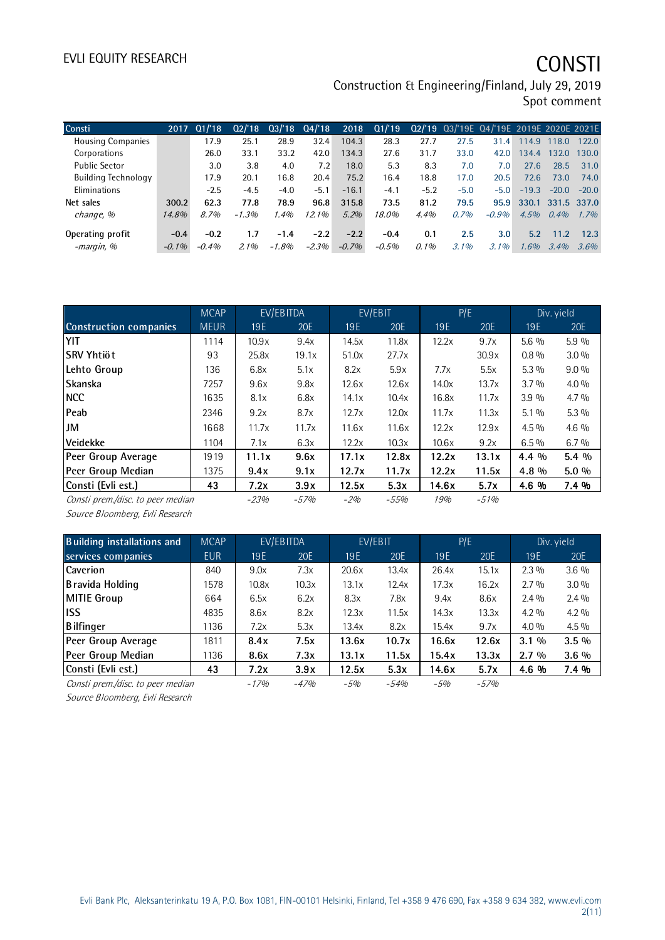# EVLI EQUITY RESEARCH **CONSTI**

Construction & Engineering/Finland, July 29, 2019 Spot comment

| Consti                     | 2017     | Q1/18   | 02/18   |         | $03/18$ $04/18$ | 2018    | Q1/19   |        | 02/'19 03/'19E 04/'19E 2019E 2020E 2021E |         |         |                   |         |
|----------------------------|----------|---------|---------|---------|-----------------|---------|---------|--------|------------------------------------------|---------|---------|-------------------|---------|
| <b>Housing Companies</b>   |          | 17.9    | 25.1    | 28.9    | 32.4            | 104.3   | 28.3    | 27.7   | 27.5                                     | 31.4    | 114.9   | 118.0             | 122.0   |
| Corporations               |          | 26.0    | 33.1    | 33.2    | 42.0            | 134.3   | 27.6    | 31.7   | 33.0                                     | 42.0    | 134.4   | 132.0             | 130.0   |
| <b>Public Sector</b>       |          | 3.0     | 3.8     | 4.0     | 7.2             | 18.0    | 5.3     | 8.3    | 7.0                                      | 7.0     | 27.6    | 28.5              | 31.0    |
| <b>Building Technology</b> |          | 17.9    | 20.1    | 16.8    | 20.4            | 75.2    | 16.4    | 18.8   | 17.0                                     | 20.5    | 72.6    | 73.0              | 74.0    |
| Eliminations               |          | $-2.5$  | $-4.5$  | $-4.0$  | $-5.1$          | $-16.1$ | $-4.1$  | $-5.2$ | $-5.0$                                   | $-5.0$  | $-19.3$ | $-20.0$           | $-20.0$ |
| Net sales                  | 300.2    | 62.3    | 77.8    | 78.9    | 96.8            | 315.8   | 73.5    | 81.2   | 79.5                                     | 95.9    |         | 330.1 331.5 337.0 |         |
| change, %                  | 14.8%    | 8.7%    | $-1.3%$ | $1.4\%$ | 12.1%           | 5.2%    | 18.0%   | 4.4%   | 0.7%                                     | $-0.9%$ | 4.5%    | 0.4%              | 1.7%    |
| Operating profit           | $-0.4$   | $-0.2$  | 1.7     | $-1.4$  | $-2.2$          | $-2.2$  | $-0.4$  | 0.1    | 2.5                                      | 3.0     | 5.2     | 11.2              | 12.3    |
| -margin, %                 | $-0.1\%$ | $-0.4%$ | 2.1%    | $-1.8%$ | $-2.3%$         | $-0.7%$ | $-0.5%$ | 0.1%   | 3.1%                                     | $3.1\%$ | 1.6%    | 3.4%              | 3.6%    |

|                                   | <b>MCAP</b> |        | EV/EBITDA |       | EV/EBIT |       | P/E    |         | Div. yield |
|-----------------------------------|-------------|--------|-----------|-------|---------|-------|--------|---------|------------|
| <b>Construction companies</b>     | <b>MEUR</b> | 19E    | 20E       | 19 E  | 20E     | 19E   | 20E    | 19E     | 20E        |
| YIT                               | 1114        | 10.9x  | 9.4x      | 14.5x | 11.8x   | 12.2x | 9.7x   | 5.6 %   | 5.9%       |
| lSRV Yhtiöt                       | 93          | 25.8x  | 19.1x     | 51.0x | 27.7x   |       | 30.9x  | $0.8\%$ | $3.0\%$    |
| Lehto Group                       | 136         | 6.8x   | 5.1x      | 8.2x  | 5.9x    | 7.7x  | 5.5x   | $5.3\%$ | $9.0\%$    |
| Skanska                           | 7257        | 9.6x   | 9.8x      | 12.6x | 12.6x   | 14.0x | 13.7x  | 3.7%    | $4.0\%$    |
| <b>NCC</b>                        | 1635        | 8.1x   | 6.8x      | 14.1x | 10.4x   | 16.8x | 11.7x  | 3.9 %   | $4.7\%$    |
| Peab                              | 2346        | 9.2x   | 8.7x      | 12.7x | 12.0x   | 11.7x | 11.3x  | $5.1\%$ | $5.3\%$    |
| JM                                | 1668        | 11.7x  | 11.7x     | 11.6x | 11.6x   | 12.2x | 12.9x  | $4.5\%$ | $4.6\%$    |
| <b>Veidekke</b>                   | 1104        | 7.1x   | 6.3x      | 12.2x | 10.3x   | 10.6x | 9.2x   | 6.5%    | $6.7\%$    |
| Peer Group Average                | 1919        | 11.1x  | 9.6x      | 17.1x | 12.8x   | 12.2x | 13.1x  | $4.4\%$ | $5.4\%$    |
| Peer Group Median                 | 1375        | 9.4x   | 9.1x      | 12.7x | 11.7x   | 12.2x | 11.5x  | 4.8 %   | $5.0\%$    |
| Consti (Evli est.)                | 43          | 7.2x   | 3.9x      | 12.5x | 5.3x    | 14.6x | 5.7x   | 4.6 %   | 7.4 %      |
| Consti prem./disc. to peer median |             | $-23%$ | $-57%$    | $-2%$ | $-55%$  | 19%   | $-51%$ |         |            |

Source Bloomberg, Evli Research

| <b>Building installations and</b> | <b>MCAP</b> |        | EV/EBITDA |                 | EV/EBIT |       | P/E    |         | Div. yield |
|-----------------------------------|-------------|--------|-----------|-----------------|---------|-------|--------|---------|------------|
| services companies                | <b>EUR</b>  | 19E    | 20E       | 19 <sub>E</sub> | 20E     | 19E   | 20E    | 19E     | 20E        |
| Caverion                          | 840         | 9.0x   | 7.3x      | 20.6x           | 13.4x   | 26.4x | 15.1x  | $2.3\%$ | $3.6\%$    |
| Bravida Holding                   | 1578        | 10.8x  | 10.3x     | 13.1x           | 12.4x   | 17.3x | 16.2x  | $2.7\%$ | $3.0\%$    |
| <b>MITIE Group</b>                | 664         | 6.5x   | 6.2x      | 8.3x            | 7.8x    | 9.4x  | 8.6x   | $2.4\%$ | $2.4\%$    |
| liss                              | 4835        | 8.6x   | 8.2x      | 12.3x           | 11.5x   | 14.3x | 13.3x  | $4.2\%$ | $4.2\%$    |
| <b>B</b> ilfinger                 | 1136        | 7.2x   | 5.3x      | 13.4x           | 8.2x    | 15.4x | 9.7x   | $4.0\%$ | $4.5\%$    |
| Peer Group Average                | 1811        | 8.4x   | 7.5x      | 13.6x           | 10.7x   | 16.6x | 12.6x  | $3.1\%$ | $3.5\%$    |
| Peer Group Median                 | 1136        | 8.6x   | 7.3x      | 13.1x           | 11.5x   | 15.4x | 13.3x  | $2.7\%$ | $3.6\%$    |
| Consti (Evli est.)                | 43          | 7.2x   | 3.9x      | 12.5x           | 5.3x    | 14.6x | 5.7x   | 4.6 %   | 7.4 %      |
| Consti prem./disc. to peer median |             | $-17%$ | $-47%$    | $-5%$           | $-54%$  | $-5%$ | $-57%$ |         |            |

Source Bloomberg, Evli Research

Evli Bank Plc, Aleksanterinkatu 19 A, P.O. Box 1081, FIN-00101 Helsinki, Finland, Tel +358 9 476 690, Fax +358 9 634 382, [www.evli.com](http://www.evli.com/) 2(11)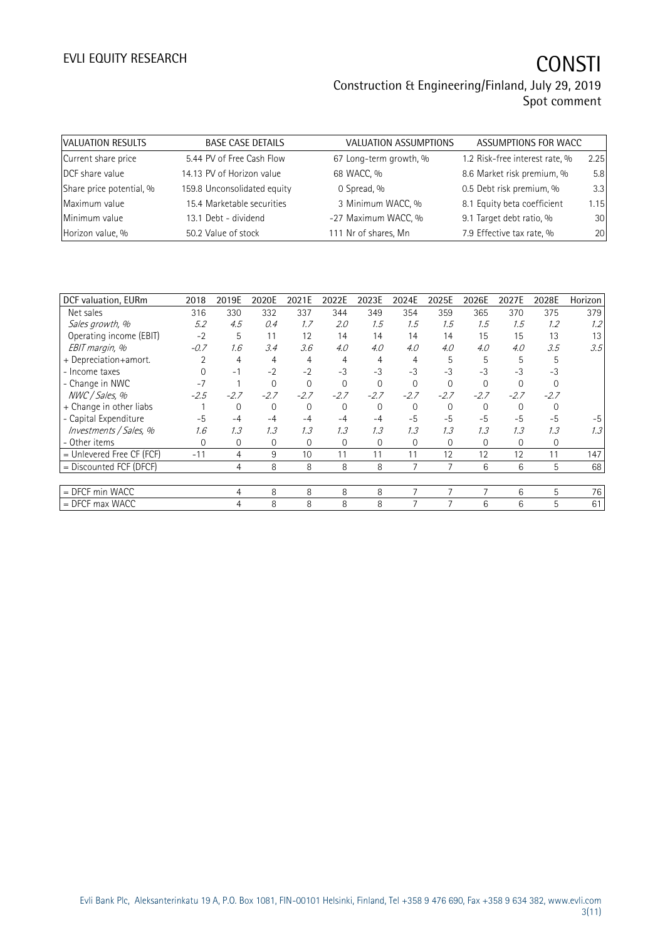# EVLI EQUITY RESEARCH **CONSTI**

### Construction & Engineering/Finland, July 29, 2019 Spot comment

| VALUATION RESULTS        | <b>BASE CASE DETAILS</b>    | VALUATION ASSUMPTIONS  | ASSUMPTIONS FOR WACC           |      |
|--------------------------|-----------------------------|------------------------|--------------------------------|------|
| Current share price      | 5.44 PV of Free Cash Flow   | 67 Long-term growth, % | 1.2 Risk-free interest rate, % | 2.25 |
| DCF share value          | 14.13 PV of Horizon value   | 68 WACC, %             | 8.6 Market risk premium, %     | 5.8  |
| Share price potential, % | 159.8 Unconsolidated equity | 0 Spread, %            | 0.5 Debt risk premium, %       | 3.3  |
| Maximum value            | 15.4 Marketable securities  | 3 Minimum WACC, %      | 8.1 Equity beta coefficient    | 1.15 |
| Minimum value            | 13.1 Debt - dividend        | -27 Maximum WACC, %    | 9.1 Target debt ratio, %       | 30   |
|                          | 50.2 Value of stock         | 111 Nr of shares, Mn   | 7.9 Effective tax rate, %      | 20   |
| Horizon value, %         |                             |                        |                                |      |

| DCF valuation, EURm         | 2018   | 2019E  | 2020E    | 2021E  | 2022E          | 2023E    | 2024E    | 2025E    | 2026E    | 2027E    | 2028E        | Horizon |
|-----------------------------|--------|--------|----------|--------|----------------|----------|----------|----------|----------|----------|--------------|---------|
| Net sales                   | 316    | 330    | 332      | 337    | 344            | 349      | 354      | 359      | 365      | 370      | 375          | 379     |
| Sales growth, %             | 5.2    | 4.5    | 0.4      | 1.7    | 2.0            | 1.5      | 1.5      | 1.5      | 1.5      | 1.5      | 1.2          | 1.2     |
| Operating income (EBIT)     | $-2$   | 5      | 11       | 12     | 14             | 14       | 14       | 14       | 15       | 15       | 13           | 13      |
| EBIT margin, %              | $-0.7$ | 1.6    | 3.4      | 3.6    | 4.0            | 4.0      | 4.0      | 4.0      | 4.0      | 4.0      | 3.5          | 3.5     |
| + Depreciation+amort.       |        | 4      | 4        | 4      | 4              |          | 4        | 5        | 5        | 5        | 5            |         |
| - Income taxes              |        | $-1$   | $-2$     | $-2$   | $-3$           | $-3$     | $-3$     | $-3$     | $-3$     | $-3$     | $-3$         |         |
| - Change in NWC             | $-7$   |        | $\Omega$ | 0      | $\Omega$       | $\Omega$ | $\Omega$ | $\Omega$ | $\Omega$ | $\Omega$ |              |         |
| NWC / Sales, %              | $-2.5$ | $-2.7$ | $-2.7$   | $-2.7$ | $-2.7$         | $-2.7$   | $-2.7$   | $-2.7$   | $-2.7$   | $-2.7$   | $-2.7$       |         |
| + Change in other liabs     |        | 0      | 0        | 0      | $\overline{0}$ | $\Omega$ | 0        | 0        | 0        | 0        |              |         |
| - Capital Expenditure       | $-5$   | $-4$   | $-4$     | $-4$   | -4             | $-4$     | $-5$     | $-5$     | $-5$     | $-5$     | $-5$         | $-5$    |
| Investments / Sales, %      | 1.6    | 1.3    | 1.3      | 1.3    | 1.3            | 1.3      | 1.3      | 1.3      | 1.3      | 1.3      | 1.3          | 1.3     |
| - Other items               | 0      | 0      | 0        | 0      | 0              | $\Omega$ | 0        | 0        | 0        | 0        | $\mathbf{0}$ |         |
| $=$ Unlevered Free CF (FCF) | $-11$  | 4      | 9        | 10     | 11             | 11       | 11       | 12       | 12       | 12       | 11           | 147     |
| = Discounted FCF (DFCF)     |        | 4      | 8        | 8      | 8              | 8        | 7        | 7        | 6        | 6        | 5            | 68      |
|                             |        |        |          |        |                |          |          |          |          |          |              |         |
| = DFCF min WACC             |        | 4      | 8        | 8      | 8              | 8        | 7        | 7        |          | 6        | 5            | 76      |
| $=$ DFCF max WACC           |        | 4      | 8        | 8      | 8              | 8        |          |          | 6        | 6        | 5            | 61      |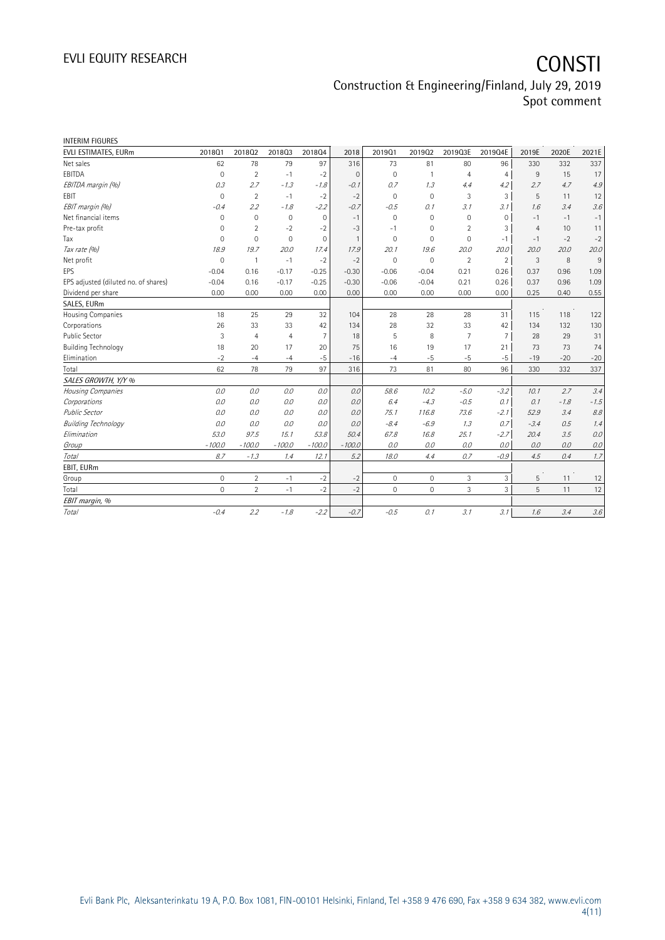| <b>INTERIM FIGURES</b>               |                     |                |                |                |                |              |                     |                |                |                |        |                          |
|--------------------------------------|---------------------|----------------|----------------|----------------|----------------|--------------|---------------------|----------------|----------------|----------------|--------|--------------------------|
| EVLI ESTIMATES, EURm                 | 2018Q1              | 201802         | 201803         | 201804         | 2018           | 201901       | 201902              | 2019Q3E        | 2019Q4E        | 2019E          | 2020E  | 2021E                    |
| Net sales                            | 62                  | 78             | 79             | 97             | 316            | 73           | 81                  | 80             | 96             | 330            | 332    | 337                      |
| EBITDA                               | $\mathbf 0$         | $\overline{2}$ | $-1$           | $-2$           | $\mathbf{0}$   | $\mathbf 0$  | $\mathbf{1}$        | $\overline{4}$ | $\overline{4}$ | 9              | 15     | 17                       |
| EBITDA margin (%)                    | 0.3                 | 2.7            | $-1.3$         | $-1.8$         | $-0.1$         | 0.7          | 1.3                 | 4.4            | 4.2            | 2.7            | 4.7    | 4.9                      |
| <b>EBIT</b>                          | $\Omega$            | $\overline{2}$ | $-1$           | $-2$           | $-2$           | $\Omega$     | $\Omega$            | 3              | 3              | 5              | 11     | 12                       |
| EBIT margin (%)                      | $-0.4$              | 2.2            | $-1.8$         | $-2.2$         | $-0.7$         | $-0.5$       | 0.1                 | 3.1            | 3.1            | 1.6            | 3.4    | 3.6                      |
| Net financial items                  | $\mathbf 0$         | $\mathbf{0}$   | $\mathbf 0$    | $\mathbf 0$    | $-1$           | $\mathbf 0$  | 0                   | 0              | 0              | $-1$           | $-1$   | $-1$                     |
| Pre-tax profit                       | 0                   | $\overline{2}$ | $-2$           | $-2$           | $-3$           | $-1$         | 0                   | $\overline{2}$ | 3              | $\overline{4}$ | 10     | 11                       |
| Tax                                  | $\mathbf 0$         | $\overline{0}$ | $\mathbf{0}$   | $\mathbf 0$    | $\overline{1}$ | $\mathbf 0$  | $\mathbf 0$         | $\mathbf 0$    | $-1$           | $-1$           | $-2$   | $-2$                     |
| Tax rate (%)                         | 18.9                | 19.7           | 20.0           | 17.4           | 17.9           | 20.1         | 19.6                | 20.0           | 20.0           | 20.0           | 20.0   | 20.0                     |
| Net profit                           | $\mathbf 0$         | $\mathbf{1}$   | $-1$           | $-2$           | $-2$           | $\mathbf{0}$ | $\mathbf 0$         | $\overline{2}$ | $\overline{2}$ | $\mathbf{3}$   | 8      | 9                        |
| EPS                                  | $-0.04$             | 0.16           | $-0.17$        | $-0.25$        | $-0.30$        | $-0.06$      | $-0.04$             | 0.21           | 0.26           | 0.37           | 0.96   | 1.09                     |
| EPS adjusted (diluted no. of shares) | $-0.04$             | 0.16           | $-0.17$        | $-0.25$        | $-0.30$        | $-0.06$      | $-0.04$             | 0.21           | 0.26           | 0.37           | 0.96   | 1.09                     |
| Dividend per share                   | 0.00                | 0.00           | 0.00           | 0.00           | 0.00           | 0.00         | 0.00                | 0.00           | 0.00           | 0.25           | 0.40   | 0.55                     |
| SALES, EURm                          |                     |                |                |                |                |              |                     |                |                |                |        |                          |
| Housing Companies                    | 18                  | 25             | 29             | 32             | 104            | 28           | 28                  | 28             | 31             | 115            | 118    | 122                      |
| Corporations                         | 26                  | 33             | 33             | 42             | 134            | 28           | 32                  | 33             | 42             | 134            | 132    | 130                      |
| <b>Public Sector</b>                 | 3                   | $\overline{4}$ | $\overline{4}$ | $\overline{7}$ | 18             | 5            | 8                   | 7              | $\overline{7}$ | 28             | 29     | 31                       |
| <b>Building Technology</b>           | 18                  | 20             | 17             | 20             | 75             | 16           | 19                  | 17             | 21             | 73             | 73     | 74                       |
| Elimination                          | $-2$                | $-4$           | $-4$           | $-5$           | $-16$          | $-4$         | $-5$                | $-5$           | $-5$           | $-19$          | $-20$  | $-20$                    |
| Total                                | 62                  | 78             | 79             | 97             | 316            | 73           | 81                  | 80             | 96             | 330            | 332    | 337                      |
| SALES GROWTH, Y/Y %                  |                     |                |                |                |                |              |                     |                |                |                |        |                          |
| Housing Companies                    | 0.0                 | 0.0            | 0.0            | 0.0            | 0.0            | 58.6         | 10.2                | $-5.0$         | $-3.2$         | 10.1           | 2.7    | 3.4                      |
| Corporations                         | 0.0                 | 0.0            | 0.0            | 0.0            | 0.0            | 6.4          | $-4.3$              | $-0.5$         | 0.1            | 0.1            | $-1.8$ | $-1.5$                   |
| <b>Public Sector</b>                 | 0.0                 | 0.0            | 0.0            | 0.0            | 0.0            | 75.1         | 116.8               | 73.6           | $-2.1$         | 52.9           | 3.4    | $\mathcal{S}\mathcal{S}$ |
| <b>Building Technology</b>           | 0.0                 | 0.0            | 0.0            | 0.0            | 0.0            | $-8.4$       | $-6.9$              | 1.3            | 0.7            | $-3.4$         | 0.5    | 1.4                      |
| Elimination                          | 53.0                | 97.5           | 15.1           | 53.8           | 50.4           | 67.8         | 16.8                | 25.1           | $-2.7$         | 20.4           | 3.5    | 0.0                      |
| Group                                | $-100.0$            | $-100.0$       | $-100.0$       | $-100.0$       | $-100.0$       | 0.0          | 0.0                 | 0.0            | 0.0            | 0.0            | 0.0    | 0.0                      |
| Total                                | 8.7                 | $-1.3$         | 1.4            | 12.1           | 5.2            | 18.0         | 4.4                 | 0.7            | $-0.9$         | 4.5            | 0.4    | 1.7                      |
| EBIT, EURm                           |                     |                |                |                |                |              |                     |                |                |                |        |                          |
| Group                                | $\mathsf{O}\xspace$ | $\overline{2}$ | $-1$           | $-2$           | $-2$           | $\mathbf 0$  | $\mathsf{O}\xspace$ | 3              | 3              | 5              | 11     | 12                       |
| Total                                | $\Omega$            | $\overline{2}$ | $-1$           | $-2$           | $-2$           | $\mathbf{0}$ | $\Omega$            | 3              | $\overline{3}$ | 5              | 11     | 12                       |
| EBIT margin, %                       |                     |                |                |                |                |              |                     |                |                |                |        |                          |
| Total                                | $-0.4$              | 2.2            | $-1.8$         | $-2.2$         | $-0.7$         | $-0.5$       | 0.1                 | 3.1            | 3.1            | 1.6            | 3.4    | 3.6                      |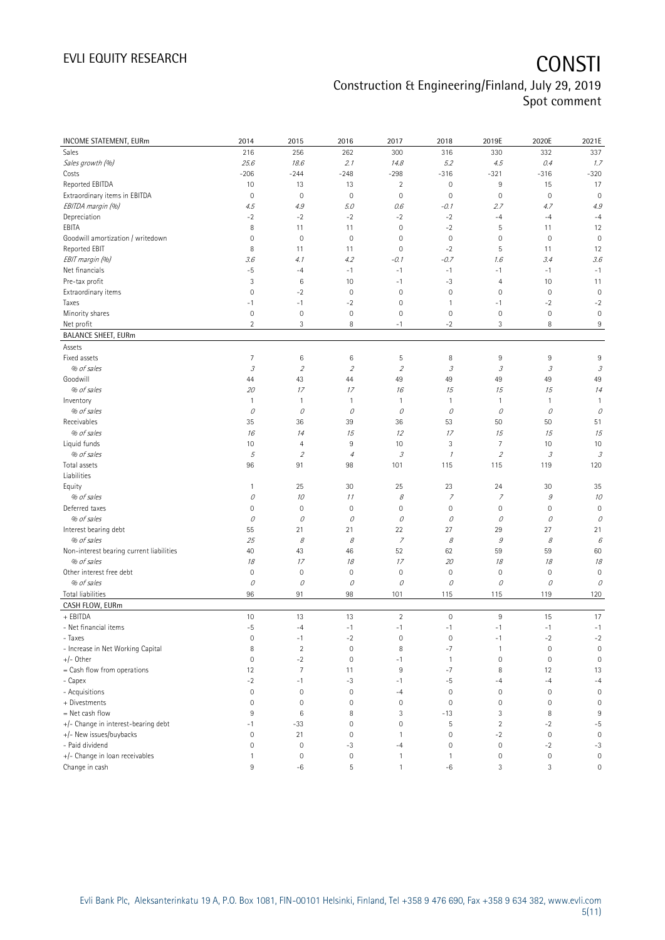| INCOME STATEMENT, EURm                   | 2014                | 2015           | 2016                | 2017                                                                                                                                                                                                                                                                                                                                                                                                                                                      | 2018                                                                                                                                                                                                                                                                                                                                                                                                                                                      | 2019E               | 2020E                      | 2021E                       |
|------------------------------------------|---------------------|----------------|---------------------|-----------------------------------------------------------------------------------------------------------------------------------------------------------------------------------------------------------------------------------------------------------------------------------------------------------------------------------------------------------------------------------------------------------------------------------------------------------|-----------------------------------------------------------------------------------------------------------------------------------------------------------------------------------------------------------------------------------------------------------------------------------------------------------------------------------------------------------------------------------------------------------------------------------------------------------|---------------------|----------------------------|-----------------------------|
| Sales                                    | 216                 | 256            | 262                 | 300                                                                                                                                                                                                                                                                                                                                                                                                                                                       | 316                                                                                                                                                                                                                                                                                                                                                                                                                                                       | 330                 | 332                        | 337                         |
| Sales growth (%)                         | 25.6                | 18.6           | 2.1                 | 14.8                                                                                                                                                                                                                                                                                                                                                                                                                                                      | 5.2                                                                                                                                                                                                                                                                                                                                                                                                                                                       | 4.5                 | 0.4                        | 1.7                         |
| Costs                                    | $-206$              | $-244$         | $-248$              | $-298$                                                                                                                                                                                                                                                                                                                                                                                                                                                    | $-316$                                                                                                                                                                                                                                                                                                                                                                                                                                                    | $-321$              | $-316$                     | $-320$                      |
| Reported EBITDA                          | 10                  | 13             | 13                  | $\overline{2}$                                                                                                                                                                                                                                                                                                                                                                                                                                            | $\mathbf 0$                                                                                                                                                                                                                                                                                                                                                                                                                                               | 9                   | 15                         | 17                          |
| Extraordinary items in EBITDA            | $\mathbf 0$         | $\mathbf 0$    | $\mathbf 0$         | $\mathbf 0$                                                                                                                                                                                                                                                                                                                                                                                                                                               | $\mathbf 0$                                                                                                                                                                                                                                                                                                                                                                                                                                               | $\mathsf{O}\xspace$ | $\mathbf 0$                | $\mathbf 0$                 |
| EBITDA margin (%)                        | 4.5                 | 4.9            | 5.0                 | 0.6                                                                                                                                                                                                                                                                                                                                                                                                                                                       | $-0.1$                                                                                                                                                                                                                                                                                                                                                                                                                                                    | 2.7                 | 4.7                        | 4.9                         |
| Depreciation                             | $-2$                | $-2$           | $-2$                | $-2$                                                                                                                                                                                                                                                                                                                                                                                                                                                      | $-2$                                                                                                                                                                                                                                                                                                                                                                                                                                                      | $-4$                | $-4$                       | $-4$                        |
| EBITA                                    | 8                   | 11             | 11                  | $\mathbf 0$                                                                                                                                                                                                                                                                                                                                                                                                                                               | $-2$                                                                                                                                                                                                                                                                                                                                                                                                                                                      | 5                   | 11                         | 12                          |
| Goodwill amortization / writedown        | $\overline{0}$      | $\mathbf 0$    | $\mathbf 0$         | $\mathbf 0$                                                                                                                                                                                                                                                                                                                                                                                                                                               | $\mathbf{0}$                                                                                                                                                                                                                                                                                                                                                                                                                                              | $\mathbf 0$         | $\mathbf 0$                | $\mathbf 0$                 |
| Reported EBIT                            | 8                   | 11             | 11                  | $\mathbf 0$                                                                                                                                                                                                                                                                                                                                                                                                                                               | $-2$                                                                                                                                                                                                                                                                                                                                                                                                                                                      | 5                   | 11                         | 12                          |
| EBIT margin (%)                          | 3.6                 | 4.1            | 4.2                 | $-0.1$                                                                                                                                                                                                                                                                                                                                                                                                                                                    | $-0.7$                                                                                                                                                                                                                                                                                                                                                                                                                                                    | 1.6                 | 3.4                        | 3.6                         |
| Net financials                           | $-5$                | $-4$           | $-1$                | $-1$                                                                                                                                                                                                                                                                                                                                                                                                                                                      | $-1$                                                                                                                                                                                                                                                                                                                                                                                                                                                      | $-1$                | $-1$                       | $-1$                        |
| Pre-tax profit                           | 3                   | 6              | 10                  | $-1$                                                                                                                                                                                                                                                                                                                                                                                                                                                      | $-3$                                                                                                                                                                                                                                                                                                                                                                                                                                                      | $\overline{4}$      | 10                         | 11                          |
| Extraordinary items                      | $\overline{0}$      | $-2$           | $\mathbf{0}$        | $\mathbf 0$                                                                                                                                                                                                                                                                                                                                                                                                                                               | $\mathbf 0$                                                                                                                                                                                                                                                                                                                                                                                                                                               | $\mathsf{O}\xspace$ | $\mathbf 0$                | $\mathbf 0$                 |
| Taxes                                    | $-1$                | $-1$           | $-2$                | $\mathbf 0$                                                                                                                                                                                                                                                                                                                                                                                                                                               | $\overline{1}$                                                                                                                                                                                                                                                                                                                                                                                                                                            | $-1$                | $-2$                       | $-2$                        |
| Minority shares                          | $\mathbf 0$         | $\mathbf 0$    | $\mathbf 0$         | $\mathbf 0$                                                                                                                                                                                                                                                                                                                                                                                                                                               | $\mathbf 0$                                                                                                                                                                                                                                                                                                                                                                                                                                               | $\mathsf{O}\xspace$ | $\mathbf 0$                | $\mathbf 0$                 |
| Net profit                               | $\overline{2}$      | 3              | 8                   | $-1$                                                                                                                                                                                                                                                                                                                                                                                                                                                      | $-2$                                                                                                                                                                                                                                                                                                                                                                                                                                                      | 3                   | 8                          | $\,9$                       |
| <b>BALANCE SHEET, EURm</b>               |                     |                |                     |                                                                                                                                                                                                                                                                                                                                                                                                                                                           |                                                                                                                                                                                                                                                                                                                                                                                                                                                           |                     |                            |                             |
| Assets                                   |                     |                |                     |                                                                                                                                                                                                                                                                                                                                                                                                                                                           |                                                                                                                                                                                                                                                                                                                                                                                                                                                           |                     |                            |                             |
| Fixed assets                             | $\overline{7}$      | 6              | 6                   | 5                                                                                                                                                                                                                                                                                                                                                                                                                                                         | 8                                                                                                                                                                                                                                                                                                                                                                                                                                                         | 9                   | 9                          | 9                           |
| % of sales                               | $\mathcal I$        | $\overline{2}$ | $\overline{2}$      | $\mathcal{L}_{\mathcal{L}}$                                                                                                                                                                                                                                                                                                                                                                                                                               | $\mathcal{J}% _{G}=\mathcal{J}_{G}=\mathcal{J}_{G}=\mathcal{J}_{G}=\mathcal{J}_{G}=\mathcal{J}_{G}=\mathcal{J}_{G}=\mathcal{J}_{G}=\mathcal{J}_{G}=\mathcal{J}_{G}=\mathcal{J}_{G}=\mathcal{J}_{G}=\mathcal{J}_{G}=\mathcal{J}_{G}=\mathcal{J}_{G}=\mathcal{J}_{G}=\mathcal{J}_{G}=\mathcal{J}_{G}=\mathcal{J}_{G}=\mathcal{J}_{G}=\mathcal{J}_{G}=\mathcal{J}_{G}=\mathcal{J}_{G}=\mathcal{J}_{G}=\mathcal{J}_{G}=\mathcal{J}_{G}=\mathcal{J}_{G}=\math$ | 3                   | 3                          | $\mathcal{S}_{\mathcal{S}}$ |
| Goodwill                                 | 44                  | 43             | 44                  | 49                                                                                                                                                                                                                                                                                                                                                                                                                                                        | 49                                                                                                                                                                                                                                                                                                                                                                                                                                                        | 49                  | 49                         | 49                          |
| % of sales                               | 20                  | 17             | 17                  | 16                                                                                                                                                                                                                                                                                                                                                                                                                                                        | 15                                                                                                                                                                                                                                                                                                                                                                                                                                                        | 15                  | 15                         | 14                          |
| Inventory                                | $\mathbf{1}$        | 1              | $\mathbf{1}$        | $\mathbf{1}$                                                                                                                                                                                                                                                                                                                                                                                                                                              | $\overline{1}$                                                                                                                                                                                                                                                                                                                                                                                                                                            | $\mathbf{1}$        | $\mathbf{1}$               | $\mathbf{1}$                |
| % of sales                               | 0                   | 0              | 0                   | 0                                                                                                                                                                                                                                                                                                                                                                                                                                                         | 0                                                                                                                                                                                                                                                                                                                                                                                                                                                         | 0                   | 0                          | 0                           |
| Receivables                              | 35                  | 36             | 39                  | 36                                                                                                                                                                                                                                                                                                                                                                                                                                                        | 53                                                                                                                                                                                                                                                                                                                                                                                                                                                        | 50                  | 50                         | 51                          |
| % of sales                               | 16                  | 14             | 15                  | 12                                                                                                                                                                                                                                                                                                                                                                                                                                                        | 17                                                                                                                                                                                                                                                                                                                                                                                                                                                        | 15                  | 15                         | 15                          |
| Liquid funds                             | 10                  | $\overline{4}$ | 9                   | 10                                                                                                                                                                                                                                                                                                                                                                                                                                                        | 3                                                                                                                                                                                                                                                                                                                                                                                                                                                         | $\overline{7}$      | 10                         | 10                          |
| % of sales                               | 5                   | $\overline{2}$ | $\overline{4}$      | $\mathcal{I}% _{G}=\mathcal{I}_{G}=\mathcal{I}_{G}=\mathcal{I}_{G}=\mathcal{I}_{G}=\mathcal{I}_{G}=\mathcal{I}_{G}=\mathcal{I}_{G}=\mathcal{I}_{G}=\mathcal{I}_{G}=\mathcal{I}_{G}=\mathcal{I}_{G}=\mathcal{I}_{G}=\mathcal{I}_{G}=\mathcal{I}_{G}=\mathcal{I}_{G}=\mathcal{I}_{G}=\mathcal{I}_{G}=\mathcal{I}_{G}=\mathcal{I}_{G}=\mathcal{I}_{G}=\mathcal{I}_{G}=\mathcal{I}_{G}=\mathcal{I}_{G}=\mathcal{I}_{G}=\mathcal{I}_{G}=\mathcal{I}_{G}=\math$ | $\mathcal I$                                                                                                                                                                                                                                                                                                                                                                                                                                              | $\overline{2}$      | $\ensuremath{\mathcal{S}}$ | $\mathcal{S}_{\mathcal{S}}$ |
| Total assets<br>Liabilities              | 96                  | 91             | 98                  | 101                                                                                                                                                                                                                                                                                                                                                                                                                                                       | 115                                                                                                                                                                                                                                                                                                                                                                                                                                                       | 115                 | 119                        | 120                         |
| Equity                                   | 1                   | 25             | 30                  | 25                                                                                                                                                                                                                                                                                                                                                                                                                                                        | 23                                                                                                                                                                                                                                                                                                                                                                                                                                                        | 24                  | 30                         | 35                          |
| % of sales                               | 0                   | 10             | 11                  | 8                                                                                                                                                                                                                                                                                                                                                                                                                                                         | $\overline{z}$                                                                                                                                                                                                                                                                                                                                                                                                                                            | $\overline{z}$      | $\mathcal G$               | 10                          |
| Deferred taxes                           | 0                   | $\mathbf 0$    | $\mathsf{O}\xspace$ | $\mathbf 0$                                                                                                                                                                                                                                                                                                                                                                                                                                               | $\mathsf{O}\xspace$                                                                                                                                                                                                                                                                                                                                                                                                                                       | $\mathsf{O}\xspace$ | $\mathbf 0$                | $\mathbb O$                 |
| % of sales                               | 0                   | 0              | 0                   | 0                                                                                                                                                                                                                                                                                                                                                                                                                                                         | 0                                                                                                                                                                                                                                                                                                                                                                                                                                                         | $\mathcal O$        | 0                          | 0                           |
| Interest bearing debt                    | 55                  | 21             | 21                  | 22                                                                                                                                                                                                                                                                                                                                                                                                                                                        | 27                                                                                                                                                                                                                                                                                                                                                                                                                                                        | 29                  | 27                         | 21                          |
| % of sales                               | 25                  | 8              | 8                   | $\boldsymbol{7}$                                                                                                                                                                                                                                                                                                                                                                                                                                          | 8                                                                                                                                                                                                                                                                                                                                                                                                                                                         | 9                   | 8                          | 6                           |
| Non-interest bearing current liabilities | 40                  | 43             | 46                  | 52                                                                                                                                                                                                                                                                                                                                                                                                                                                        | 62                                                                                                                                                                                                                                                                                                                                                                                                                                                        | 59                  | 59                         | 60                          |
| % of sales                               | 18                  | 17             | 18                  | 17                                                                                                                                                                                                                                                                                                                                                                                                                                                        | 20                                                                                                                                                                                                                                                                                                                                                                                                                                                        | 18                  | 18                         | 18                          |
| Other interest free debt                 | $\mathbf 0$         | $\mathbf 0$    | $\mathbf 0$         | $\mathbf 0$                                                                                                                                                                                                                                                                                                                                                                                                                                               | $\mathbf 0$                                                                                                                                                                                                                                                                                                                                                                                                                                               | $\mathbb O$         | $\mathbf 0$                | $\mathbf 0$                 |
| % of sales                               | 0                   | 0              | 0                   | 0                                                                                                                                                                                                                                                                                                                                                                                                                                                         | 0                                                                                                                                                                                                                                                                                                                                                                                                                                                         | 0                   | 0                          | 0                           |
| Total liabilities                        | 96                  | 91             | 98                  | 101                                                                                                                                                                                                                                                                                                                                                                                                                                                       | 115                                                                                                                                                                                                                                                                                                                                                                                                                                                       | 115                 | 119                        | 120                         |
| CASH FLOW, EURm                          |                     |                |                     |                                                                                                                                                                                                                                                                                                                                                                                                                                                           |                                                                                                                                                                                                                                                                                                                                                                                                                                                           |                     |                            |                             |
| + EBITDA                                 | 10                  | 13             | 13                  | $\overline{2}$                                                                                                                                                                                                                                                                                                                                                                                                                                            | $\mathsf{O}\xspace$                                                                                                                                                                                                                                                                                                                                                                                                                                       | $9\,$               | 15                         | 17                          |
| - Net financial items                    | $-5$                | $-4$           | $-1$                | $-1$                                                                                                                                                                                                                                                                                                                                                                                                                                                      | $-1$                                                                                                                                                                                                                                                                                                                                                                                                                                                      | $-1$                | $-1$                       | $-1$                        |
| - Taxes                                  | $\mathbb O$         | $-1$           | $-2$                | $\mathbf 0$                                                                                                                                                                                                                                                                                                                                                                                                                                               | $\boldsymbol{0}$                                                                                                                                                                                                                                                                                                                                                                                                                                          | $-1$                | $-2$                       | $-2$                        |
| - Increase in Net Working Capital        | 8                   | $\overline{2}$ | $\mathsf{O}\xspace$ | 8                                                                                                                                                                                                                                                                                                                                                                                                                                                         | $-7$                                                                                                                                                                                                                                                                                                                                                                                                                                                      | $\mathbf{1}$        | $\mathbf 0$                | $\mathbb O$                 |
| $+/-$ Other                              | $\mathbf 0$         | $-2$           | $\mathsf{O}\xspace$ | $-1$                                                                                                                                                                                                                                                                                                                                                                                                                                                      | $\overline{1}$                                                                                                                                                                                                                                                                                                                                                                                                                                            | $\mathbb O$         | $\mathbf 0$                | $\mathbf 0$                 |
| = Cash flow from operations              | 12                  | $\overline{7}$ | 11                  | 9                                                                                                                                                                                                                                                                                                                                                                                                                                                         | $-7$                                                                                                                                                                                                                                                                                                                                                                                                                                                      | 8                   | 12                         | 13                          |
| - Capex                                  | $-2$                | $-1$           | $-3$                | $-1$                                                                                                                                                                                                                                                                                                                                                                                                                                                      | $-5$                                                                                                                                                                                                                                                                                                                                                                                                                                                      | $-4$                | $-4$                       | $-4$                        |
| - Acquisitions                           | $\overline{0}$      | $\mathbf 0$    | $\mathsf{O}\xspace$ | $-4$                                                                                                                                                                                                                                                                                                                                                                                                                                                      | $\boldsymbol{0}$                                                                                                                                                                                                                                                                                                                                                                                                                                          | $\mathbb O$         | $\mathbf 0$                | $\mathbf 0$                 |
| + Divestments                            | $\mathbf 0$         | $\mathbf 0$    | $\mathsf{O}\xspace$ | $\mathbf 0$                                                                                                                                                                                                                                                                                                                                                                                                                                               | $\mathbf 0$                                                                                                                                                                                                                                                                                                                                                                                                                                               | $\mathbb O$         | $\mathbf 0$                | $\mathbb O$                 |
| = Net cash flow                          | 9                   | 6              | 8                   | 3                                                                                                                                                                                                                                                                                                                                                                                                                                                         | $-13$                                                                                                                                                                                                                                                                                                                                                                                                                                                     | 3                   | 8                          | 9                           |
| +/- Change in interest-bearing debt      | $-1$                | $-33$          | $\mathbb O$         | $\mathbf 0$                                                                                                                                                                                                                                                                                                                                                                                                                                               | 5                                                                                                                                                                                                                                                                                                                                                                                                                                                         | $\sqrt{2}$          | $-2$                       | $-5$                        |
| +/- New issues/buybacks                  | $\mathsf{O}\xspace$ | 21             | $\mathsf{O}\xspace$ | $\mathbf{1}$                                                                                                                                                                                                                                                                                                                                                                                                                                              | $\mathbf 0$                                                                                                                                                                                                                                                                                                                                                                                                                                               | $-2$                | $\mathbf 0$                | $\mathsf{O}\xspace$         |
| - Paid dividend                          | $\mathbf 0$         | $\mathbf 0$    | $-3$                | $-4$                                                                                                                                                                                                                                                                                                                                                                                                                                                      | $\boldsymbol{0}$                                                                                                                                                                                                                                                                                                                                                                                                                                          | $\mathbb O$         | $-2$                       | $-3$                        |
| +/- Change in loan receivables           | $\mathbf{1}$        | $\mathbf 0$    | $\mathsf{O}\xspace$ | $\mathbf{1}$                                                                                                                                                                                                                                                                                                                                                                                                                                              | $\mathbf{1}$                                                                                                                                                                                                                                                                                                                                                                                                                                              | $\mathsf{O}\xspace$ | $\boldsymbol{0}$           | $\mathsf{O}\xspace$         |
| Change in cash                           | $9\,$               | $-6$           | 5                   | $\mathbf{1}$                                                                                                                                                                                                                                                                                                                                                                                                                                              | -6                                                                                                                                                                                                                                                                                                                                                                                                                                                        | $\sqrt{3}$          | 3                          | 0                           |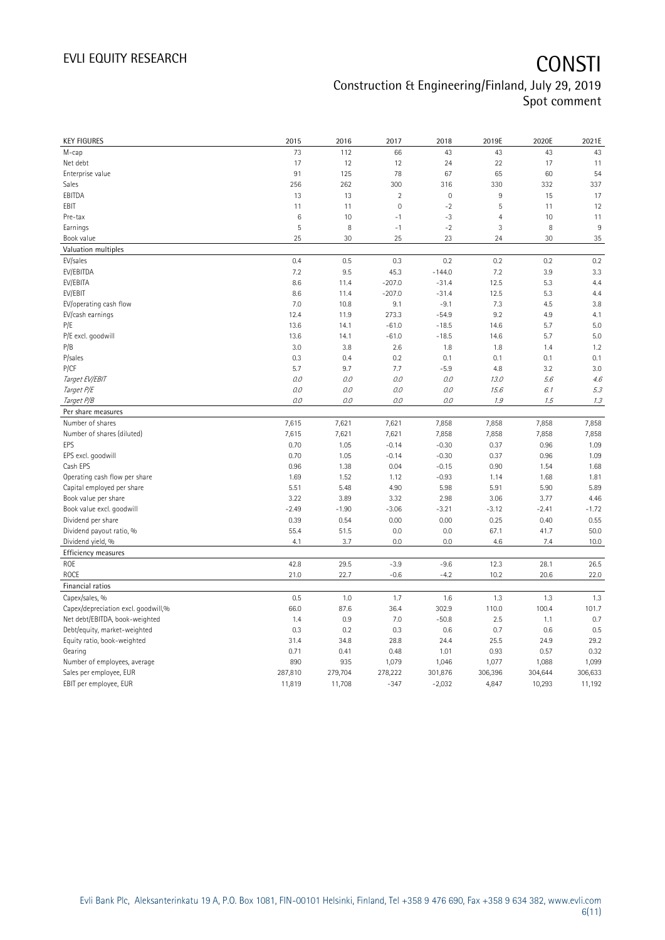| <b>KEY FIGURES</b>                  | 2015            | 2016    | 2017                | 2018        | 2019E          | 2020E   | 2021E   |
|-------------------------------------|-----------------|---------|---------------------|-------------|----------------|---------|---------|
| M-cap                               | 73              | 112     | 66                  | 43          | 43             | 43      | 43      |
| Net debt                            | 17              | 12      | 12                  | 24          | 22             | 17      | 11      |
| Enterprise value                    | 91              | 125     | 78                  | 67          | 65             | 60      | 54      |
| Sales                               | 256             | 262     | 300                 | 316         | 330            | 332     | 337     |
| EBITDA                              | 13              | 13      | $\overline{2}$      | $\mathbf 0$ | $\,9$          | 15      | 17      |
| EBIT                                | 11              | 11      | $\mathsf{O}\xspace$ | $-2$        | 5              | 11      | 12      |
| Pre-tax                             | $6\phantom{1}6$ | 10      | $-1$                | $-3$        | $\overline{4}$ | 10      | 11      |
| Earnings                            | 5               | 8       | $-1$                | $-2$        | 3              | 8       | 9       |
| Book value                          | 25              | 30      | 25                  | 23          | 24             | 30      | 35      |
| Valuation multiples                 |                 |         |                     |             |                |         |         |
| EV/sales                            | 0.4             | 0.5     | 0.3                 | 0.2         | 0.2            | 0.2     | 0.2     |
| EV/EBITDA                           | 7.2             | 9.5     | 45.3                | $-144.0$    | 7.2            | 3.9     | 3.3     |
| EV/EBITA                            | 8.6             | 11.4    | $-207.0$            | $-31.4$     | 12.5           | 5.3     | 4.4     |
| EV/EBIT                             | 8.6             | 11.4    | $-207.0$            | $-31.4$     | 12.5           | 5.3     | 4.4     |
| EV/operating cash flow              | 7.0             | 10.8    | 9.1                 | $-9.1$      | 7.3            | 4.5     | 3.8     |
| EV/cash earnings                    | 12.4            | 11.9    | 273.3               | $-54.9$     | 9.2            | 4.9     | 4.1     |
| P/E                                 | 13.6            | 14.1    | $-61.0$             | $-18.5$     | 14.6           | 5.7     | 5.0     |
| P/E excl. goodwill                  | 13.6            | 14.1    | $-61.0$             | $-18.5$     | 14.6           | 5.7     | 5.0     |
| P/B                                 | 3.0             | 3.8     | 2.6                 | 1.8         | 1.8            | 1.4     | 1.2     |
| P/sales                             | 0.3             | 0.4     | 0.2                 | 0.1         | 0.1            | 0.1     | 0.1     |
| P/CF                                | 5.7             | 9.7     | 7.7                 | $-5.9$      | 4.8            | 3.2     | 3.0     |
| Target EV/EBIT                      | 0.0             | 0.0     | 0.0                 | 0.0         | 13.0           | 5.6     | 4.6     |
| Target P/E                          | 0.0             | 0.0     | 0.0                 | 0.0         | 15.6           | 6.1     | 5.3     |
| Target P/B                          | $0.0$           | 0.0     | 0.0                 | $O.O$       | 1.9            | 1.5     | 1.3     |
| Per share measures                  |                 |         |                     |             |                |         |         |
| Number of shares                    | 7,615           | 7,621   | 7,621               | 7,858       | 7,858          | 7,858   | 7,858   |
| Number of shares (diluted)          | 7,615           | 7,621   | 7,621               | 7,858       | 7,858          | 7,858   | 7,858   |
| EPS                                 | 0.70            | 1.05    | $-0.14$             | $-0.30$     | 0.37           | 0.96    | 1.09    |
| EPS excl. goodwill                  | 0.70            | 1.05    | $-0.14$             | $-0.30$     | 0.37           | 0.96    | 1.09    |
| Cash EPS                            | 0.96            | 1.38    | 0.04                | $-0.15$     | 0.90           | 1.54    | 1.68    |
| Operating cash flow per share       | 1.69            | 1.52    | 1.12                | $-0.93$     | 1.14           | 1.68    | 1.81    |
| Capital employed per share          | 5.51            | 5.48    | 4.90                | 5.98        | 5.91           | 5.90    | 5.89    |
| Book value per share                | 3.22            | 3.89    | 3.32                | 2.98        | 3.06           | 3.77    | 4.46    |
| Book value excl. goodwill           | $-2.49$         | $-1.90$ | $-3.06$             | $-3.21$     | $-3.12$        | $-2.41$ | $-1.72$ |
| Dividend per share                  | 0.39            | 0.54    | 0.00                | 0.00        | 0.25           | 0.40    | 0.55    |
| Dividend payout ratio, %            | 55.4            | 51.5    | 0.0                 | 0.0         | 67.1           | 41.7    | 50.0    |
| Dividend yield, %                   | 4.1             | 3.7     | 0.0                 | 0.0         | 4.6            | 7.4     | 10.0    |
|                                     |                 |         |                     |             |                |         |         |
| Efficiency measures                 |                 |         |                     |             |                |         |         |
| ROE                                 | 42.8            | 29.5    | $-3.9$              | $-9.6$      | 12.3           | 28.1    | 26.5    |
| <b>ROCE</b>                         | 21.0            | 22.7    | $-0.6$              | $-4.2$      | 10.2           | 20.6    | 22.0    |
| Financial ratios                    |                 |         |                     |             |                |         |         |
| Capex/sales, %                      | 0.5             | 1.0     | 1.7                 | 1.6         | 1.3            | 1.3     | 1.3     |
| Capex/depreciation excl. goodwill,% | 66.0            | 87.6    | 36.4                | 302.9       | 110.0          | 100.4   | 101.7   |
| Net debt/EBITDA, book-weighted      | 1.4             | 0.9     | 7.0                 | $-50.8$     | 2.5            | 1.1     | 0.7     |
| Debt/equity, market-weighted        | 0.3             | 0.2     | 0.3                 | 0.6         | 0.7            | 0.6     | 0.5     |
| Equity ratio, book-weighted         | 31.4            | 34.8    | 28.8                | 24.4        | 25.5           | 24.9    | 29.2    |
| Gearing                             | 0.71            | 0.41    | 0.48                | 1.01        | 0.93           | 0.57    | 0.32    |
| Number of employees, average        | 890             | 935     | 1,079               | 1,046       | 1,077          | 1,088   | 1,099   |
| Sales per employee, EUR             | 287,810         | 279,704 | 278,222             | 301,876     | 306,396        | 304,644 | 306,633 |
| EBIT per employee, EUR              | 11,819          | 11,708  | $-347$              | $-2,032$    | 4,847          | 10,293  | 11,192  |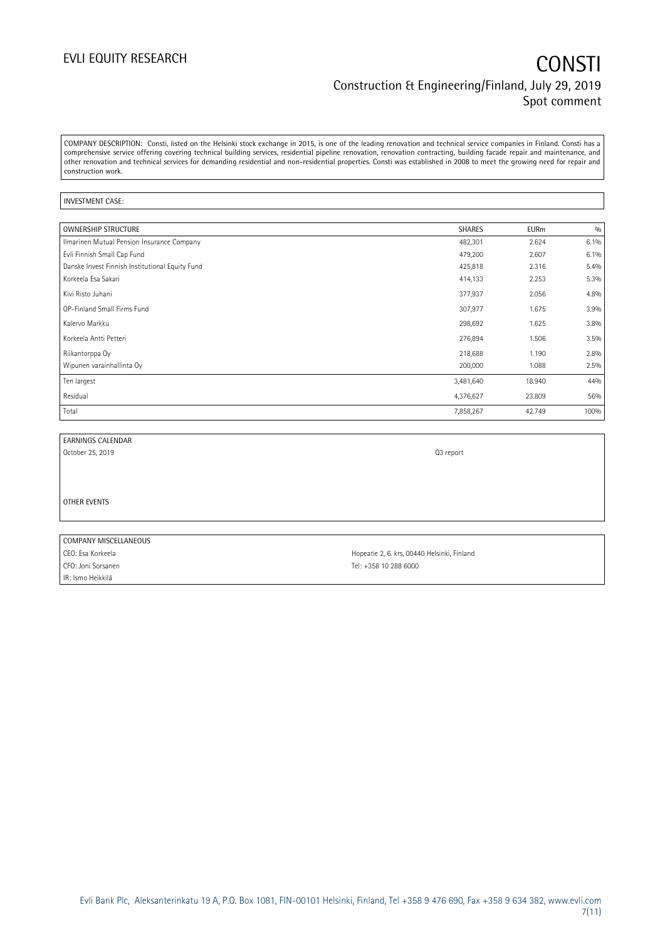COMPANY DESCRIPTION: Consti, listed on the Helsinki stock exchange in 2015, is one of the leading renovation and technical service companies in Finland. Consti has a comprehensive service offering covering technical building services, residential pipeline renovation, renovation contracting, building facade repair and maintenance, and other renovation and technical services for demanding residential and non-residential properties. Consti was established in 2008 to meet the growing need for repair and construction work.

### INVESTMENT CASE:

| <b>OWNERSHIP STRUCTURE</b>                      | <b>SHARES</b> | <b>EURm</b> | 0/0  |
|-------------------------------------------------|---------------|-------------|------|
| Ilmarinen Mutual Pension Insurance Company      | 482,301       | 2.624       | 6.1% |
| Evli Finnish Small Cap Fund                     | 479,200       | 2.607       | 6.1% |
| Danske Invest Finnish Institutional Equity Fund | 425,818       | 2.316       | 5.4% |
| Korkeela Esa Sakari                             | 414,133       | 2.253       | 5.3% |
| Kivi Risto Juhani                               | 377,937       | 2.056       | 4.8% |
| OP-Finland Small Firms Fund                     | 307,977       | 1.675       | 3.9% |
| Kalervo Markku                                  | 298,692       | 1.625       | 3.8% |
| Korkeela Antti Petteri                          | 276,894       | 1.506       | 3.5% |
| Riikantorppa Oy                                 | 218,688       | 1.190       | 2.8% |
| Wipunen varainhallinta Oy                       | 200,000       | 1.088       | 2.5% |
| Ten largest                                     | 3,481,640     | 18.940      | 44%  |
| Residual                                        | 4,376,627     | 23.809      | 56%  |
| Total                                           | 7,858,267     | 42.749      | 100% |

EARNINGS CALENDAR

October 25, 2019 Q3 report

OTHER EVENTS

| COMPANY MISCELLANEOUS |       |
|-----------------------|-------|
| CEO: Esa Korkeela     | $H_1$ |
| CFO: Joni Sorsanen    | Τŕ    |
| IR: Ismo Heikkilä     |       |

lopeatie 2, 6. krs, 00440 Helsinki, Finland el: +358 10 288 6000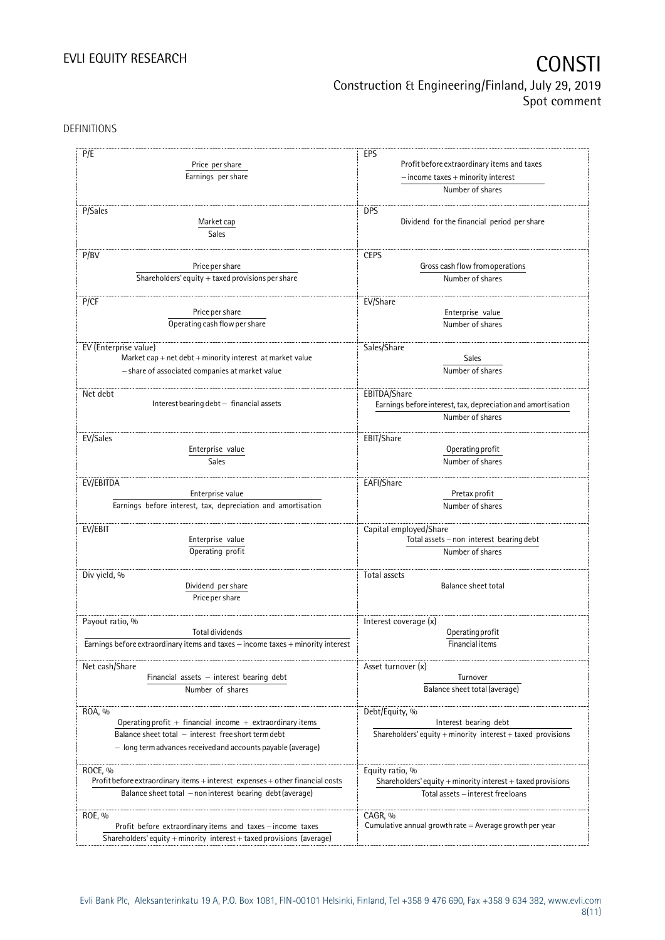DEFINITIONS

| P/E                                                                              | EPS                                                                  |  |  |
|----------------------------------------------------------------------------------|----------------------------------------------------------------------|--|--|
| Price per share                                                                  | Profit before extraordinary items and taxes                          |  |  |
| Earnings per share                                                               | $-$ income taxes $+$ minority interest                               |  |  |
|                                                                                  | Number of shares                                                     |  |  |
| P/Sales                                                                          |                                                                      |  |  |
|                                                                                  | <b>DPS</b>                                                           |  |  |
| Market cap                                                                       | Dividend for the financial period per share                          |  |  |
| Sales                                                                            |                                                                      |  |  |
| P/BV                                                                             | <b>CEPS</b>                                                          |  |  |
| Price per share                                                                  | Gross cash flow from operations                                      |  |  |
| Shareholders' equity $+$ taxed provisions per share                              | Number of shares                                                     |  |  |
|                                                                                  |                                                                      |  |  |
| P/CF                                                                             | EV/Share                                                             |  |  |
| Price per share                                                                  | Enterprise value                                                     |  |  |
| Operating cash flow per share                                                    | Number of shares                                                     |  |  |
|                                                                                  |                                                                      |  |  |
| EV (Enterprise value)                                                            | Sales/Share                                                          |  |  |
| Market cap $+$ net debt $+$ minority interest at market value                    | Sales                                                                |  |  |
| - share of associated companies at market value                                  | Number of shares                                                     |  |  |
|                                                                                  |                                                                      |  |  |
| Net debt                                                                         | EBITDA/Share                                                         |  |  |
| Interest bearing debt - financial assets                                         | Earnings before interest, tax, depreciation and amortisation         |  |  |
|                                                                                  | Number of shares                                                     |  |  |
|                                                                                  |                                                                      |  |  |
| EV/Sales                                                                         | EBIT/Share                                                           |  |  |
| Enterprise value                                                                 | Operating profit                                                     |  |  |
| Sales                                                                            | Number of shares                                                     |  |  |
|                                                                                  |                                                                      |  |  |
| EV/EBITDA                                                                        | EAFI/Share                                                           |  |  |
| Enterprise value                                                                 | Pretax profit                                                        |  |  |
| Earnings before interest, tax, depreciation and amortisation                     | Number of shares                                                     |  |  |
|                                                                                  |                                                                      |  |  |
| EV/EBIT                                                                          | Capital employed/Share                                               |  |  |
| Enterprise value                                                                 | Total assets - non interest bearing debt                             |  |  |
| Operating profit                                                                 | Number of shares                                                     |  |  |
|                                                                                  |                                                                      |  |  |
| Div yield, %                                                                     | Total assets                                                         |  |  |
| Dividend per share                                                               | <b>Balance sheet total</b>                                           |  |  |
| Price per share                                                                  |                                                                      |  |  |
|                                                                                  |                                                                      |  |  |
| Payout ratio, %                                                                  | Interest coverage (x)                                                |  |  |
| Total dividends                                                                  | Operating profit                                                     |  |  |
| Earnings before extraordinary items and taxes - income taxes + minority interest | Financial items                                                      |  |  |
| Net cash/Share                                                                   |                                                                      |  |  |
|                                                                                  | Asset turnover (x)<br>Turnover                                       |  |  |
| Financial assets $-$ interest bearing debt                                       |                                                                      |  |  |
| Number of shares                                                                 | Balance sheet total (average)                                        |  |  |
| ROA, %                                                                           | Debt/Equity, %                                                       |  |  |
| Operating profit + financial income + extraordinary items                        | Interest bearing debt                                                |  |  |
| Balance sheet total - interest free short term debt                              |                                                                      |  |  |
|                                                                                  | Shareholders' equity $+$ minority interest $+$ taxed provisions      |  |  |
| - long term advances received and accounts payable (average)                     |                                                                      |  |  |
|                                                                                  |                                                                      |  |  |
| ROCE, %                                                                          | Equity ratio, %                                                      |  |  |
| Profit before extraordinary items + interest expenses + other financial costs    | Shareholders' equity $+$ minority interest $+$ taxed provisions      |  |  |
| Balance sheet total - non interest bearing debt (average)                        | Total assets - interest free loans                                   |  |  |
|                                                                                  |                                                                      |  |  |
| ROE, %<br>Profit before extraordinary items and taxes - income taxes             | CAGR, %<br>Cumulative annual growth rate $=$ Average growth per year |  |  |
|                                                                                  |                                                                      |  |  |
| Shareholders' equity + minority interest + taxed provisions (average)            |                                                                      |  |  |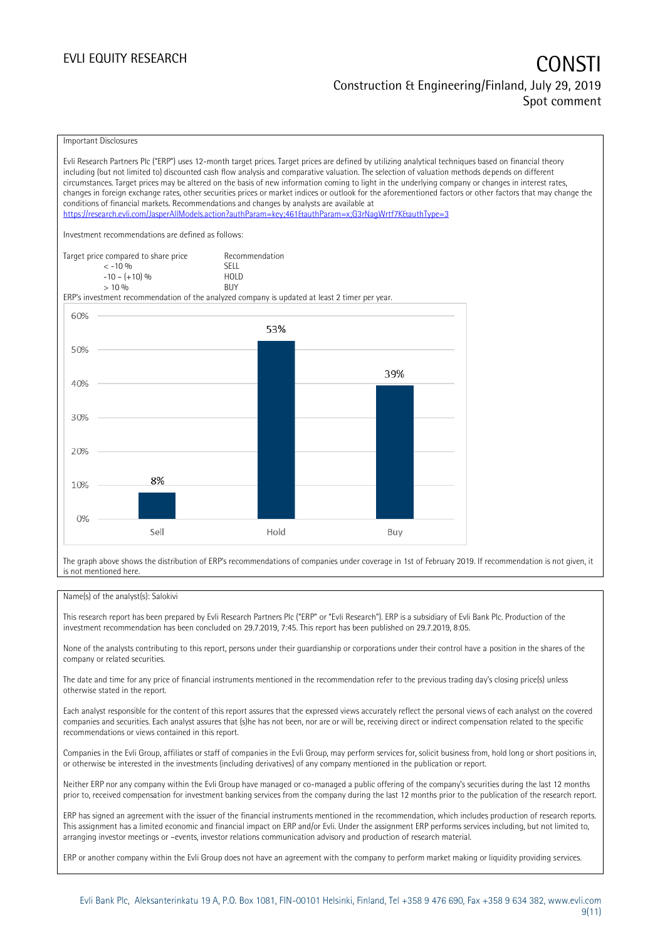### EVLI EQUITY RESEARCH **CONSTITUTE OF A CONSTITUTE OF A CONSTITUTE OF A CONSTITUTE OF A CONSTITUTE OF A CONSTITUTE** Construction & Engineering/Finland, July 29, 2019 Spot comment

Important Disclosures

Evli Research Partners Plc ("ERP") uses 12-month target prices. Target prices are defined by utilizing analytical techniques based on financial theory including (but not limited to) discounted cash flow analysis and comparative valuation. The selection of valuation methods depends on different circumstances. Target prices may be altered on the basis of new information coming to light in the underlying company or changes in interest rates, changes in foreign exchange rates, other securities prices or market indices or outlook for the aforementioned factors or other factors that may change the conditions of financial markets. Recommendations and changes by analysts are available at <https://research.evli.com/JasperAllModels.action?authParam=key;461&authParam=x;G3rNagWrtf7K&authType=3> Investment recommendations are defined as follows: Target price compared to share price Recommendation<br>  $\leq -10\%$  $\langle 5, 10, 10 \rangle$  SELL<br>  $\langle -10, 1, 10 \rangle$   $\langle 6, 10 \rangle$   $\langle 10, 10 \rangle$  $-10 - (+10) \%$  HOL<br>  $> 10 \%$  BUY  $> 10\%$ ERP's investment recommendation of the analyzed company is updated at least 2 timer per year. 60% 53% 50% 39% 40% 30% 20% 8% 10%  $0%$ Sell Hold Buy

The graph above shows the distribution of ERP's recommendations of companies under coverage in 1st of February 2019. If recommendation is not given, it is not mentioned here.

### Name(s) of the analyst(s): Salokivi

This research report has been prepared by Evli Research Partners Plc ("ERP" or "Evli Research"). ERP is a subsidiary of Evli Bank Plc. Production of the investment recommendation has been concluded on 29.7.2019, 7:45. This report has been published on 29.7.2019, 8:05.

None of the analysts contributing to this report, persons under their guardianship or corporations under their control have a position in the shares of the company or related securities.

The date and time for any price of financial instruments mentioned in the recommendation refer to the previous trading day's closing price(s) unless otherwise stated in the report.

Each analyst responsible for the content of this report assures that the expressed views accurately reflect the personal views of each analyst on the covered companies and securities. Each analyst assures that (s)he has not been, nor are or will be, receiving direct or indirect compensation related to the specific recommendations or views contained in this report.

Companies in the Evli Group, affiliates or staff of companies in the Evli Group, may perform services for, solicit business from, hold long or short positions in, or otherwise be interested in the investments (including derivatives) of any company mentioned in the publication or report.

Neither ERP nor any company within the Evli Group have managed or co-managed a public offering of the company's securities during the last 12 months prior to, received compensation for investment banking services from the company during the last 12 months prior to the publication of the research report.

ERP has signed an agreement with the issuer of the financial instruments mentioned in the recommendation, which includes production of research reports. This assignment has a limited economic and financial impact on ERP and/or Evli. Under the assignment ERP performs services including, but not limited to, arranging investor meetings or –events, investor relations communication advisory and production of research material.

ERP or another company within the Evli Group does not have an agreement with the company to perform market making or liquidity providing services.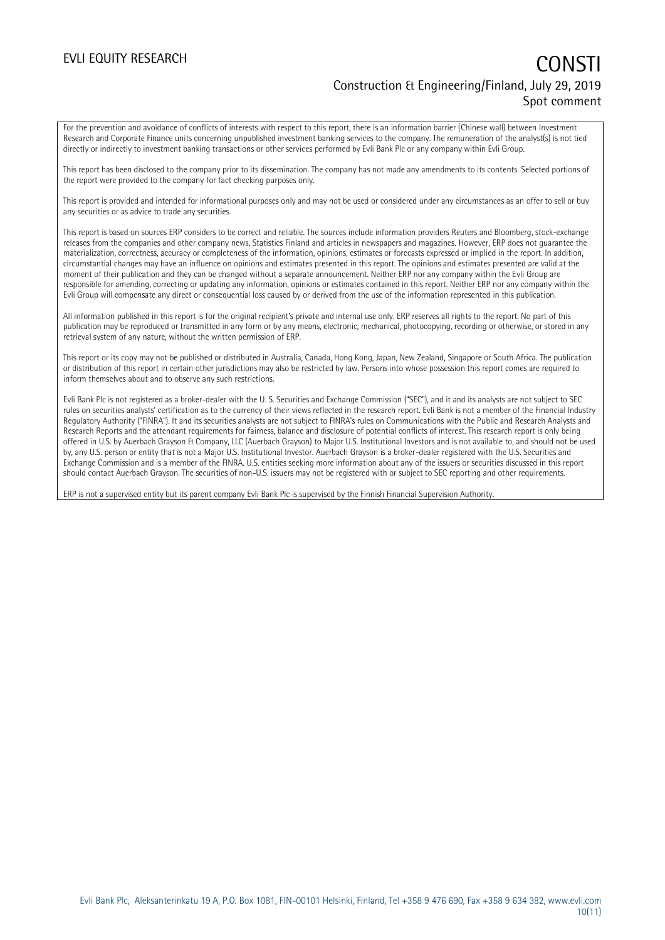### EVLI EQUITY RESEARCH **CONSTITUTE OF A CONSTITUTE OF A CONSTITUTE OF A CONSTITUTE OF A CONSTITUTE OF A CONSTITUTE** Construction & Engineering/Finland, July 29, 2019 Spot comment

For the prevention and avoidance of conflicts of interests with respect to this report, there is an information barrier (Chinese wall) between Investment Research and Corporate Finance units concerning unpublished investment banking services to the company. The remuneration of the analyst(s) is not tied directly or indirectly to investment banking transactions or other services performed by Evli Bank Plc or any company within Evli Group.

This report has been disclosed to the company prior to its dissemination. The company has not made any amendments to its contents. Selected portions of the report were provided to the company for fact checking purposes only.

This report is provided and intended for informational purposes only and may not be used or considered under any circumstances as an offer to sell or buy any securities or as advice to trade any securities.

This report is based on sources ERP considers to be correct and reliable. The sources include information providers Reuters and Bloomberg, stock-exchange releases from the companies and other company news, Statistics Finland and articles in newspapers and magazines. However, ERP does not guarantee the materialization, correctness, accuracy or completeness of the information, opinions, estimates or forecasts expressed or implied in the report. In addition, circumstantial changes may have an influence on opinions and estimates presented in this report. The opinions and estimates presented are valid at the moment of their publication and they can be changed without a separate announcement. Neither ERP nor any company within the Evli Group are responsible for amending, correcting or updating any information, opinions or estimates contained in this report. Neither ERP nor any company within the Evli Group will compensate any direct or consequential loss caused by or derived from the use of the information represented in this publication.

All information published in this report is for the original recipient's private and internal use only. ERP reserves all rights to the report. No part of this publication may be reproduced or transmitted in any form or by any means, electronic, mechanical, photocopying, recording or otherwise, or stored in any retrieval system of any nature, without the written permission of ERP.

This report or its copy may not be published or distributed in Australia, Canada, Hong Kong, Japan, New Zealand, Singapore or South Africa. The publication or distribution of this report in certain other jurisdictions may also be restricted by law. Persons into whose possession this report comes are required to inform themselves about and to observe any such restrictions.

Evli Bank Plc is not registered as a broker-dealer with the U. S. Securities and Exchange Commission ("SEC"), and it and its analysts are not subject to SEC rules on securities analysts' certification as to the currency of their views reflected in the research report. Evli Bank is not a member of the Financial Industry Regulatory Authority ("FINRA"). It and its securities analysts are not subject to FINRA's rules on Communications with the Public and Research Analysts and Research Reports and the attendant requirements for fairness, balance and disclosure of potential conflicts of interest. This research report is only being offered in U.S. by Auerbach Grayson & Company, LLC (Auerbach Grayson) to Major U.S. Institutional Investors and is not available to, and should not be used by, any U.S. person or entity that is not a Major U.S. Institutional Investor. Auerbach Grayson is a broker-dealer registered with the U.S. Securities and Exchange Commission and is a member of the FINRA. U.S. entities seeking more information about any of the issuers or securities discussed in this report should contact Auerbach Grayson. The securities of non-U.S. issuers may not be registered with or subject to SEC reporting and other requirements.

ERP is not a supervised entity but its parent company Evli Bank Plc is supervised by the Finnish Financial Supervision Authority.